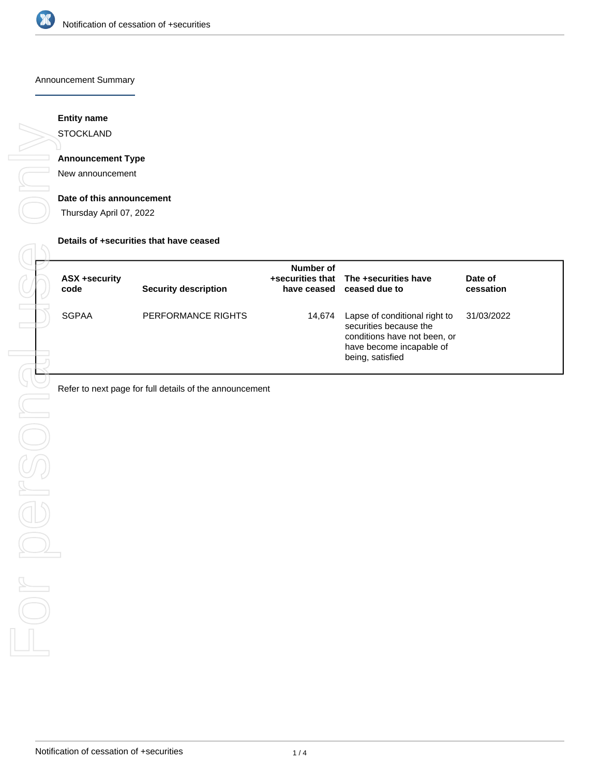

#### Announcement Summary

### **Entity name**

**STOCKLAND** 

### **Announcement Type**

New announcement

#### **Date of this announcement**

Thursday April 07, 2022

#### **Details of +securities that have ceased**

| ASX +security<br>code | Security description | Number of | +securities that The +securities have<br>have ceased ceased due to                                                                      | Date of<br>cessation |
|-----------------------|----------------------|-----------|-----------------------------------------------------------------------------------------------------------------------------------------|----------------------|
| <b>SGPAA</b>          | PERFORMANCE RIGHTS   | 14,674    | Lapse of conditional right to<br>securities because the<br>conditions have not been, or<br>have become incapable of<br>being, satisfied | 31/03/2022           |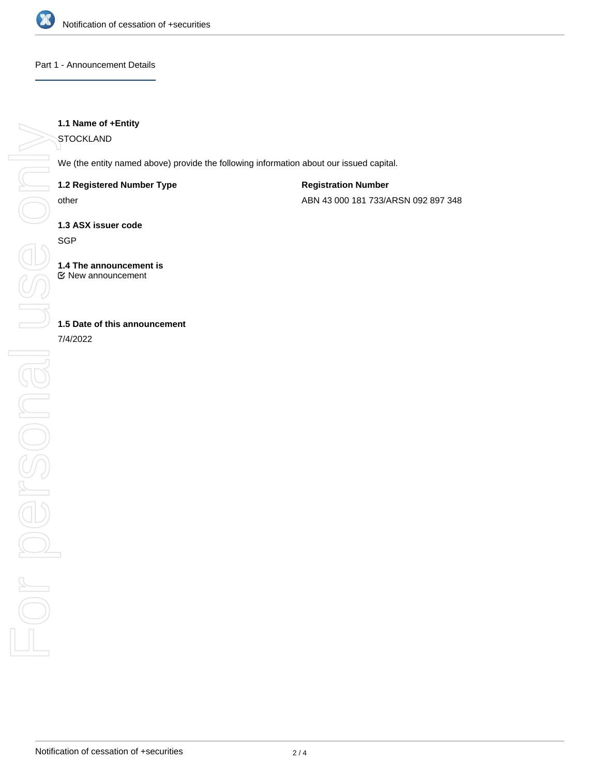

### Part 1 - Announcement Details

### **1.1 Name of +Entity**

**STOCKLAND** 

We (the entity named above) provide the following information about our issued capital.

### **1.2 Registered Number Type**

other

**Registration Number**

ABN 43 000 181 733/ARSN 092 897 348

**1.3 ASX issuer code**

**SGP** 

**1.4 The announcement is** New announcement

## **1.5 Date of this announcement**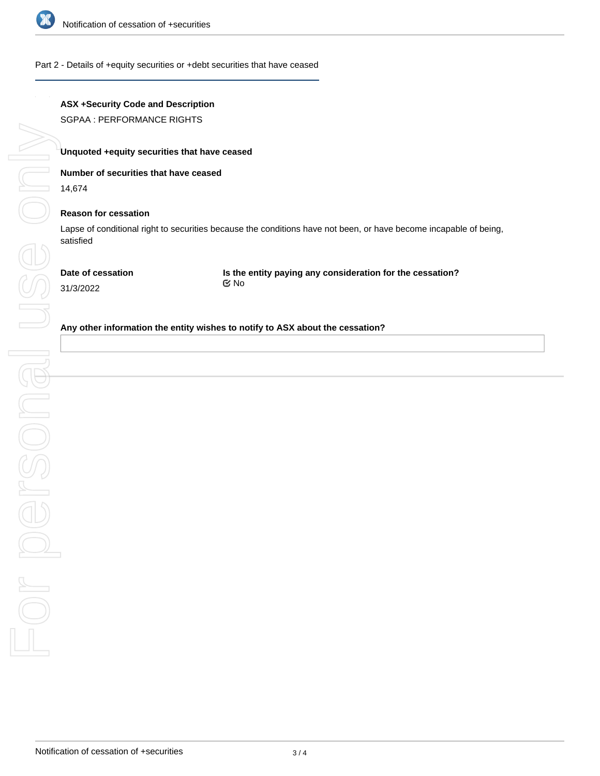

### Part 2 - Details of +equity securities or +debt securities that have ceased

# **ASX +Security Code and Description**

SGPAA : PERFORMANCE RIGHTS

### **Unquoted +equity securities that have ceased**

### **Number of securities that have ceased**

14,674

### **Reason for cessation**

Lapse of conditional right to securities because the conditions have not been, or have become incapable of being, satisfied

**Date of cessation**

**Is the entity paying any consideration for the cessation?** No

# 31/3/2022

### **Any other information the entity wishes to notify to ASX about the cessation?**